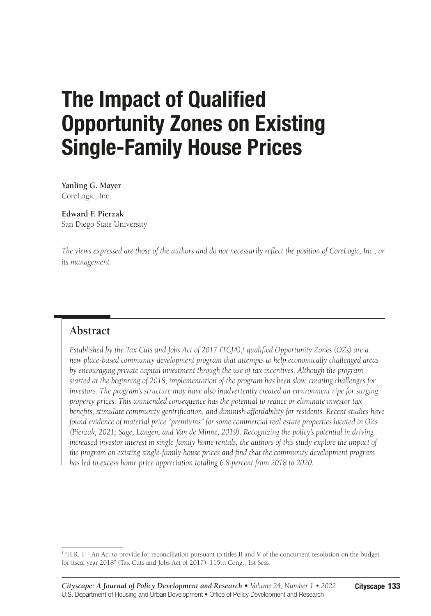# The Impact of Qualified Opportunity Zones on Existing Single-Family House Prices

**Yanling G. Mayer** CoreLogic, Inc.

**Edward F. Pierzak** San Diego State University

*The views expressed are those of the authors and do not necessarily reflect the position of CoreLogic, Inc., or its management.*

### **Abstract**

*Established by the Tax Cuts and Jobs Act of 2017 (TCJA),*<sup>1</sup>  *qualified Opportunity Zones (OZs) are a new place-based community development program that attempts to help economically challenged areas by encouraging private capital investment through the use of tax incentives. Although the program started at the beginning of 2018, implementation of the program has been slow, creating challenges for investors. The program's structure may have also inadvertently created an environment ripe for surging property prices. This unintended consequence has the potential to reduce or eliminate investor tax benefits, stimulate community gentrification, and diminish affordability for residents. Recent studies have found evidence of material price "premiums" for some commercial real estate properties located in OZs (Pierzak, 2021; Sage, Langen, and Van de Minne, 2019). Recognizing the policy's potential in driving increased investor interest in single-family home rentals, the authors of this study explore the impact of the program on existing single-family house prices and find that the community development program has led to excess home price appreciation totaling 6.8 percent from 2018 to 2020.*

<sup>&</sup>lt;sup>1</sup> "H.R. 1—An Act to provide for reconciliation pursuant to titles II and V of the concurrent resolution on the budget for fiscal year 2018" (Tax Cuts and Jobs Act of 2017). 115th Cong., 1st Sess.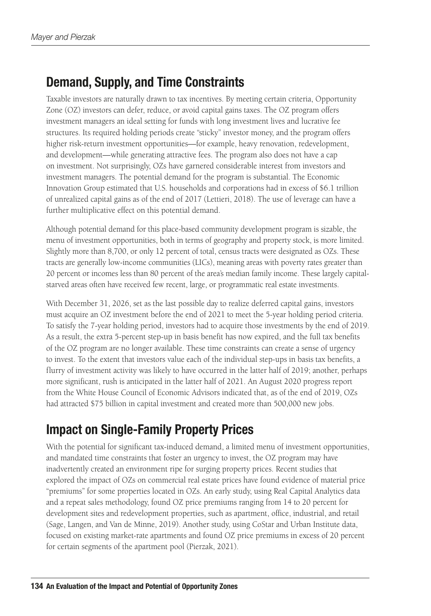## Demand, Supply, and Time Constraints

Taxable investors are naturally drawn to tax incentives. By meeting certain criteria, Opportunity Zone (OZ) investors can defer, reduce, or avoid capital gains taxes. The OZ program offers investment managers an ideal setting for funds with long investment lives and lucrative fee structures. Its required holding periods create "sticky" investor money, and the program offers higher risk-return investment opportunities—for example, heavy renovation, redevelopment, and development—while generating attractive fees. The program also does not have a cap on investment. Not surprisingly, OZs have garnered considerable interest from investors and investment managers. The potential demand for the program is substantial. The Economic Innovation Group estimated that U.S. households and corporations had in excess of \$6.1 trillion of unrealized capital gains as of the end of 2017 (Lettieri, 2018). The use of leverage can have a further multiplicative effect on this potential demand.

Although potential demand for this place-based community development program is sizable, the menu of investment opportunities, both in terms of geography and property stock, is more limited. Slightly more than 8,700, or only 12 percent of total, census tracts were designated as OZs. These tracts are generally low-income communities (LICs), meaning areas with poverty rates greater than 20 percent or incomes less than 80 percent of the area's median family income. These largely capitalstarved areas often have received few recent, large, or programmatic real estate investments.

With December 31, 2026, set as the last possible day to realize deferred capital gains, investors must acquire an OZ investment before the end of 2021 to meet the 5-year holding period criteria. To satisfy the 7-year holding period, investors had to acquire those investments by the end of 2019. As a result, the extra 5-percent step-up in basis benefit has now expired, and the full tax benefits of the OZ program are no longer available. These time constraints can create a sense of urgency to invest. To the extent that investors value each of the individual step-ups in basis tax benefits, a flurry of investment activity was likely to have occurred in the latter half of 2019; another, perhaps more significant, rush is anticipated in the latter half of 2021. An August 2020 progress report from the White House Council of Economic Advisors indicated that, as of the end of 2019, OZs had attracted \$75 billion in capital investment and created more than 500,000 new jobs.

# Impact on Single-Family Property Prices

With the potential for significant tax-induced demand, a limited menu of investment opportunities, and mandated time constraints that foster an urgency to invest, the OZ program may have inadvertently created an environment ripe for surging property prices. Recent studies that explored the impact of OZs on commercial real estate prices have found evidence of material price "premiums" for some properties located in OZs. An early study, using Real Capital Analytics data and a repeat sales methodology, found OZ price premiums ranging from 14 to 20 percent for development sites and redevelopment properties, such as apartment, office, industrial, and retail (Sage, Langen, and Van de Minne, 2019). Another study, using CoStar and Urban Institute data, focused on existing market-rate apartments and found OZ price premiums in excess of 20 percent for certain segments of the apartment pool (Pierzak, 2021).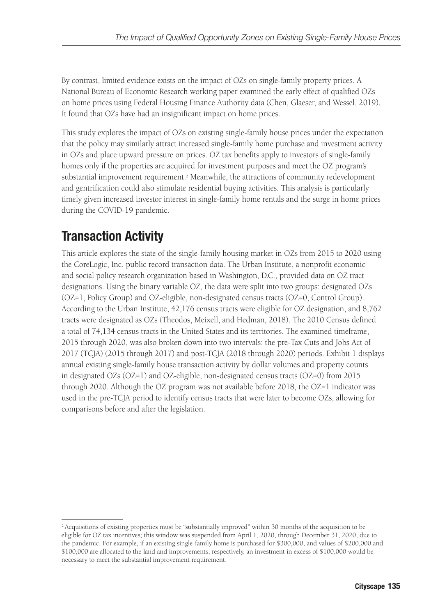By contrast, limited evidence exists on the impact of OZs on single-family property prices. A National Bureau of Economic Research working paper examined the early effect of qualified OZs on home prices using Federal Housing Finance Authority data (Chen, Glaeser, and Wessel, 2019). It found that OZs have had an insignificant impact on home prices.

This study explores the impact of OZs on existing single-family house prices under the expectation that the policy may similarly attract increased single-family home purchase and investment activity in OZs and place upward pressure on prices. OZ tax benefits apply to investors of single-family homes only if the properties are acquired for investment purposes and meet the OZ program's substantial improvement requirement.<sup>2</sup> Meanwhile, the attractions of community redevelopment and gentrification could also stimulate residential buying activities. This analysis is particularly timely given increased investor interest in single-family home rentals and the surge in home prices during the COVID-19 pandemic.

# Transaction Activity

This article explores the state of the single-family housing market in OZs from 2015 to 2020 using the CoreLogic, Inc. public record transaction data. The Urban Institute, a nonprofit economic and social policy research organization based in Washington, D.C., provided data on OZ tract designations. Using the binary variable OZ, the data were split into two groups: designated OZs (OZ=1, Policy Group) and OZ-eligible, non-designated census tracts (OZ=0, Control Group). According to the Urban Institute, 42,176 census tracts were eligible for OZ designation, and 8,762 tracts were designated as OZs (Theodos, Meixell, and Hedman, 2018). The 2010 Census defined a total of 74,134 census tracts in the United States and its territories. The examined timeframe, 2015 through 2020, was also broken down into two intervals: the pre-Tax Cuts and Jobs Act of 2017 (TCJA) (2015 through 2017) and post-TCJA (2018 through 2020) periods. Exhibit 1 displays annual existing single-family house transaction activity by dollar volumes and property counts in designated OZs (OZ=1) and OZ-eligible, non-designated census tracts (OZ=0) from 2015 through 2020. Although the OZ program was not available before 2018, the OZ=1 indicator was used in the pre-TCJA period to identify census tracts that were later to become OZs, allowing for comparisons before and after the legislation.

<sup>&</sup>lt;sup>2</sup> Acquisitions of existing properties must be "substantially improved" within 30 months of the acquisition to be eligible for OZ tax incentives; this window was suspended from April 1, 2020, through December 31, 2020, due to the pandemic. For example, if an existing single-family home is purchased for \$300,000, and values of \$200,000 and \$100,000 are allocated to the land and improvements, respectively, an investment in excess of \$100,000 would be necessary to meet the substantial improvement requirement.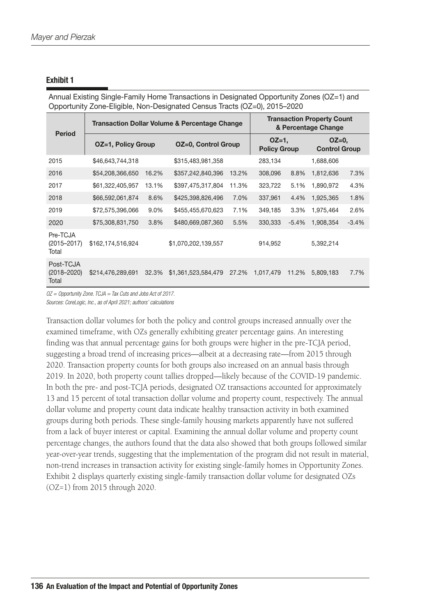| Opportunity Zone-Eligible, Non-Designated Census Tracts (OZ=0), 2015–2020 |                                                          |       |                     |       |                                                          |         |                                |         |
|---------------------------------------------------------------------------|----------------------------------------------------------|-------|---------------------|-------|----------------------------------------------------------|---------|--------------------------------|---------|
| <b>Period</b>                                                             | <b>Transaction Dollar Volume &amp; Percentage Change</b> |       |                     |       | <b>Transaction Property Count</b><br>& Percentage Change |         |                                |         |
|                                                                           | <b>OZ=1, Policy Group</b>                                |       | OZ=0, Control Group |       | $OZ=1$ ,<br><b>Policy Group</b>                          |         | $OZ=0$<br><b>Control Group</b> |         |
| 2015                                                                      | \$46,643,744,318                                         |       | \$315,483,981,358   |       | 283,134                                                  |         | 1,688,606                      |         |
| 2016                                                                      | \$54,208,366,650                                         | 16.2% | \$357,242,840,396   | 13.2% | 308,096                                                  | 8.8%    | 1,812,636                      | 7.3%    |
| 2017                                                                      | \$61,322,405,957                                         | 13.1% | \$397,475,317,804   | 11.3% | 323,722                                                  | 5.1%    | 1,890,972                      | 4.3%    |
| 2018                                                                      | \$66,592,061,874                                         | 8.6%  | \$425,398,826,496   | 7.0%  | 337,961                                                  | 4.4%    | 1,925,365                      | 1.8%    |
| 2019                                                                      | \$72,575,396,066                                         | 9.0%  | \$455,455,670,623   | 7.1%  | 349,185                                                  | 3.3%    | 1,975,464                      | 2.6%    |
| 2020                                                                      | \$75,308,831,750                                         | 3.8%  | \$480,669,087,360   | 5.5%  | 330,333                                                  | $-5.4%$ | 1,908,354                      | $-3.4%$ |
| Pre-TCJA<br>$(2015 - 2017)$<br>Total                                      | \$162,174,516,924                                        |       | \$1,070,202,139,557 |       | 914,952                                                  |         | 5,392,214                      |         |
| Post-TCJA<br>$(2018 - 2020)$<br>Total                                     | \$214,476,289,691                                        | 32.3% | \$1,361,523,584,479 | 27.2% | 1,017,479                                                | 11.2%   | 5,809,183                      | 7.7%    |

Annual Existing Single-Family Home Transactions in Designated Opportunity Zones (OZ=1) and Opportunity Zone-Eligible, Non-Designated Census Tracts (OZ=0), 2015–2020

*OZ = Opportunity Zone. TCJA = Tax Cuts and Jobs Act of 2017.*

*Sources: CoreLogic, Inc., as of April 2021; authors' calculations*

Transaction dollar volumes for both the policy and control groups increased annually over the examined timeframe, with OZs generally exhibiting greater percentage gains. An interesting finding was that annual percentage gains for both groups were higher in the pre-TCJA period, suggesting a broad trend of increasing prices—albeit at a decreasing rate—from 2015 through 2020. Transaction property counts for both groups also increased on an annual basis through 2019. In 2020, both property count tallies dropped—likely because of the COVID-19 pandemic. In both the pre- and post-TCJA periods, designated OZ transactions accounted for approximately 13 and 15 percent of total transaction dollar volume and property count, respectively. The annual dollar volume and property count data indicate healthy transaction activity in both examined groups during both periods. These single-family housing markets apparently have not suffered from a lack of buyer interest or capital. Examining the annual dollar volume and property count percentage changes, the authors found that the data also showed that both groups followed similar year-over-year trends, suggesting that the implementation of the program did not result in material, non-trend increases in transaction activity for existing single-family homes in Opportunity Zones. Exhibit 2 displays quarterly existing single-family transaction dollar volume for designated OZs (OZ=1) from 2015 through 2020.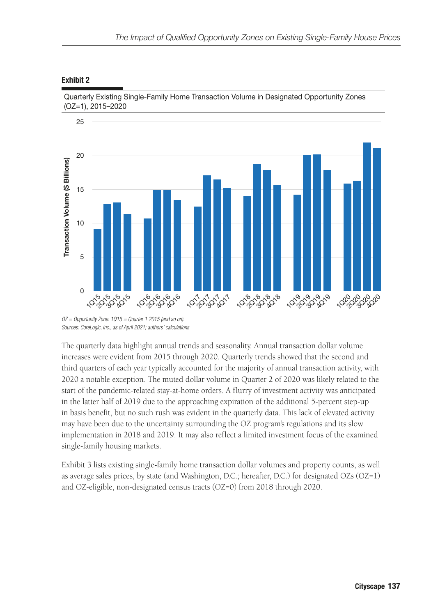### 25 20 Transaction Volume (\$ Billions) 15  $10$ 5  $\overline{0}$ ७, ५०, ५०, ५०<br>0, ०,०, ५०, ५० 10,0,0,0,0,0 1070707107 10,0,9,8,9 10,20,30,20,9 <u>රු</u>රුද්දැරු Ò,

#### Exhibit 2

Quarterly Existing Single-Family Home Transaction Volume in Designated Opportunity Zones (OZ=1), 2015–2020

The quarterly data highlight annual trends and seasonality. Annual transaction dollar volume increases were evident from 2015 through 2020. Quarterly trends showed that the second and third quarters of each year typically accounted for the majority of annual transaction activity, with 2020 a notable exception. The muted dollar volume in Quarter 2 of 2020 was likely related to the start of the pandemic-related stay-at-home orders. A flurry of investment activity was anticipated in the latter half of 2019 due to the approaching expiration of the additional 5-percent step-up in basis benefit, but no such rush was evident in the quarterly data. This lack of elevated activity may have been due to the uncertainty surrounding the OZ program's regulations and its slow implementation in 2018 and 2019. It may also reflect a limited investment focus of the examined single-family housing markets.

Exhibit 3 lists existing single-family home transaction dollar volumes and property counts, as well as average sales prices, by state (and Washington, D.C.; hereafter, D.C.) for designated OZs (OZ=1) and OZ-eligible, non-designated census tracts (OZ=0) from 2018 through 2020.

*OZ = Opportunity Zone. 1Q15 = Quarter 1 2015 (and so on). Sources: CoreLogic, Inc., as of April 2021; authors' calculations*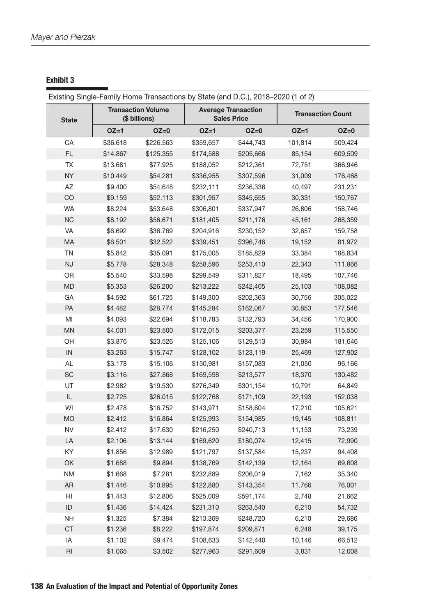Existing Single-Family Home Transactions by State (and D.C.), 2018–2020 (1 of 2) **State** Transaction Volume (\$ billions) Average Transaction Sales Price **Transaction Count** OZ=1 OZ=0 OZ=1 OZ=0 OZ=1 OZ=0 CA \$36.618 \$226.563 \$359,657 \$444,743 101,814 509,424 FL \$14.867 \$125.355 \$174,588 \$205,666 85,154 609,509 TX \$13.681 \$77.925 \$188,052 \$212,361 72,751 366,946 NY \$10.449 \$54.281 \$336,955 \$307,596 31,009 176,468 AZ \$9.400 \$54.648 \$232,111 \$236,336 40,497 231,231 CO \$9.159 \$52.113 \$301,957 \$345,655 30,331 150,767 WA \$8.224 \$53.648 \$306,801 \$337,947 26,806 158,746 NC \$8.192 \$56.671 \$181,405 \$211,176 45,161 268,359 VA \$6.692 \$36.769 \$204,916 \$230,152 32,657 159,758 MA \$6.501 \$32.522 \$339,451 \$396,746 19,152 81,972 TN \$5.842 \$35.091 \$175,005 \$185,829 33,384 188,834 NJ \$5.778 \$28.348 \$258,596 \$253,410 22,343 111,866 OR \$5.540 \$33.598 \$299,549 \$311,827 18,495 107,746 MD \$5.353 \$26.200 \$213,222 \$242,405 25,103 108,082 GA \$4.592 \$61.725 \$149,300 \$202,363 30,756 305,022 PA \$4.482 \$28.774 \$145,284 \$162,067 30,853 177,546 MI \$4.093 \$22.694 \$118,783 \$132,793 34,456 170,900 MN \$4.001 \$23.500 \$172,015 \$203,377 23,259 115,550 OH \$3.876 \$23.526 \$125,106 \$129,513 30,984 181,646 IN \$3.263 \$15.747 \$128,102 \$123,119 25,469 127,902 AL \$3.178 \$15.106 \$150,981 \$157,083 21,050 96,166 SC \$3.116 \$27.868 \$169,598 \$213,577 18,370 130,482 UT \$2.982 \$19.530 \$276,349 \$301,154 10,791 64,849 IL \$2.725 \$26.015 \$122,768 \$171,109 22,193 152,038 WI \$2.478 \$16.752 \$143,971 \$158,604 17,210 105,621 MO \$2.412 \$16.864 \$125,993 \$154,985 19,145 108,811 NV \$2.412 \$17.630 \$216,250 \$240,713 11,153 73,239 LA \$2.106 \$13.144 \$169,620 \$180,074 12,415 72,990 KY \$1.856 \$12.989 \$121,797 \$137,584 15,237 94,408 OK \$1.688 \$9.894 \$138,769 \$142,139 12,164 69,608 NM \$1.668 \$7.281 \$232,889 \$206,019 7,162 35,340 AR \$1.446 \$10.895 \$122,880 \$143,354 11,766 76,001 HI \$1.443 \$12.806 \$525,009 \$591,174 2,748 21,662 ID \$1.436 \$14.424 \$231,310 \$263,540 6,210 54,732 NH \$1.325 \$7.384 \$213,369 \$248,720 6,210 29,686 CT \$1.236 \$8.222 \$197,874 \$209,871 6,248 39,175 IA \$1.102 \$9.474 \$108,633 \$142,440 10,146 66,512 RI \$1.065 \$3.502 \$277,963 \$291,609 3,831 12,008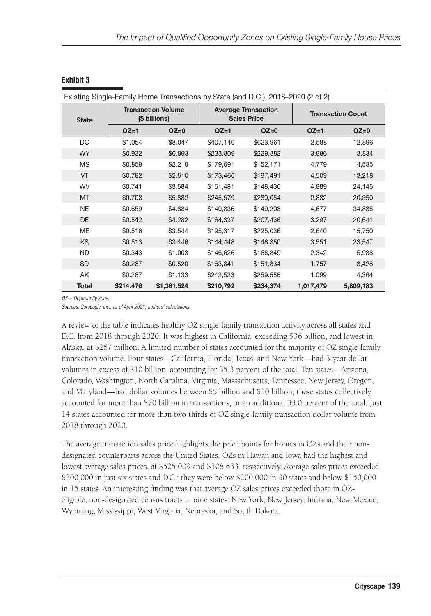| Existing Single-Family Home Transactions by State (and D.C.), 2018–2020 (2 of 2) |                                            |             |           |                                                  |                          |           |  |
|----------------------------------------------------------------------------------|--------------------------------------------|-------------|-----------|--------------------------------------------------|--------------------------|-----------|--|
| <b>State</b>                                                                     | <b>Transaction Volume</b><br>(\$ billions) |             |           | <b>Average Transaction</b><br><b>Sales Price</b> | <b>Transaction Count</b> |           |  |
|                                                                                  | $OZ=1$                                     | $OZ=0$      | $OZ=1$    | $OZ=0$                                           | $OZ=1$                   | $OZ=0$    |  |
| DC                                                                               | \$1.054                                    | \$8.047     | \$407,140 | \$623,961                                        | 2,588                    | 12,896    |  |
| <b>WY</b>                                                                        | \$0.932                                    | \$0.893     | \$233,809 | \$229,882                                        | 3,986                    | 3,884     |  |
| <b>MS</b>                                                                        | \$0.859                                    | \$2.219     | \$179,691 | \$152,171                                        | 4,779                    | 14,585    |  |
| VT                                                                               | \$0.782                                    | \$2.610     | \$173,466 | \$197,491                                        | 4,509                    | 13,218    |  |
| <b>WV</b>                                                                        | \$0.741                                    | \$3.584     | \$151,481 | \$148,436                                        | 4,889                    | 24,145    |  |
| MT                                                                               | \$0.708                                    | \$5.882     | \$245,579 | \$289,054                                        | 2,882                    | 20,350    |  |
| <b>NE</b>                                                                        | \$0.659                                    | \$4.884     | \$140,836 | \$140,208                                        | 4,677                    | 34,835    |  |
| <b>DE</b>                                                                        | \$0.542                                    | \$4.282     | \$164,337 | \$207,436                                        | 3,297                    | 20,641    |  |
| ME                                                                               | \$0.516                                    | \$3.544     | \$195,317 | \$225,036                                        | 2,640                    | 15,750    |  |
| KS                                                                               | \$0.513                                    | \$3.446     | \$144,448 | \$146,350                                        | 3,551                    | 23,547    |  |
| <b>ND</b>                                                                        | \$0.343                                    | \$1.003     | \$146,626 | \$168,849                                        | 2,342                    | 5,938     |  |
| <b>SD</b>                                                                        | \$0.287                                    | \$0.520     | \$163,341 | \$151,834                                        | 1,757                    | 3,428     |  |
| AK                                                                               | \$0.267                                    | \$1.133     | \$242,523 | \$259,556                                        | 1,099                    | 4,364     |  |
| <b>Total</b>                                                                     | \$214.476                                  | \$1,361.524 | \$210,792 | \$234,374                                        | 1,017,479                | 5,809,183 |  |

*OZ = Opportunity Zone.*

*Sources: CoreLogic, Inc., as of April 2021; authors' calculations*

A review of the table indicates healthy OZ single-family transaction activity across all states and D.C. from 2018 through 2020. It was highest in California, exceeding \$36 billion, and lowest in Alaska, at \$267 million. A limited number of states accounted for the majority of OZ single-family transaction volume. Four states—California, Florida, Texas, and New York—had 3-year dollar volumes in excess of \$10 billion, accounting for 35.3 percent of the total. Ten states—Arizona, Colorado, Washington, North Carolina, Virginia, Massachusetts, Tennessee, New Jersey, Oregon, and Maryland—had dollar volumes between \$5 billion and \$10 billion; these states collectively accounted for more than \$70 billion in transactions, or an additional 33.0 percent of the total. Just 14 states accounted for more than two-thirds of OZ single-family transaction dollar volume from 2018 through 2020.

The average transaction sales price highlights the price points for homes in OZs and their nondesignated counterparts across the United States. OZs in Hawaii and Iowa had the highest and lowest average sales prices, at \$525,009 and \$108,633, respectively. Average sales prices exceeded \$300,000 in just six states and D.C.; they were below \$200,000 in 30 states and below \$150,000 in 15 states. An interesting finding was that average OZ sales prices exceeded those in OZeligible, non-designated census tracts in nine states: New York, New Jersey, Indiana, New Mexico, Wyoming, Mississippi, West Virginia, Nebraska, and South Dakota.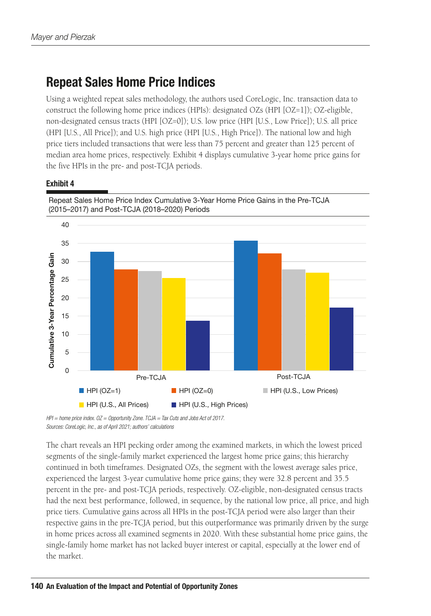### Repeat Sales Home Price Indices

Using a weighted repeat sales methodology, the authors used CoreLogic, Inc. transaction data to construct the following home price indices (HPIs): designated OZs (HPI [OZ=1]); OZ-eligible, non-designated census tracts (HPI [OZ=0]); U.S. low price (HPI [U.S., Low Price]); U.S. all price (HPI [U.S., All Price]); and U.S. high price (HPI [U.S., High Price]). The national low and high price tiers included transactions that were less than 75 percent and greater than 125 percent of median area home prices, respectively. Exhibit 4 displays cumulative 3-year home price gains for the five HPIs in the pre- and post-TCJA periods.

### Exhibit 4



*HPI = home price index. OZ = Opportunity Zone. TCJA = Tax Cuts and Jobs Act of 2017. Sources: CoreLogic, Inc., as of April 2021; authors' calculations*

The chart reveals an HPI pecking order among the examined markets, in which the lowest priced segments of the single-family market experienced the largest home price gains; this hierarchy continued in both timeframes. Designated OZs, the segment with the lowest average sales price, experienced the largest 3-year cumulative home price gains; they were 32.8 percent and 35.5 percent in the pre- and post-TCJA periods, respectively. OZ-eligible, non-designated census tracts had the next best performance, followed, in sequence, by the national low price, all price, and high price tiers. Cumulative gains across all HPIs in the post-TCJA period were also larger than their respective gains in the pre-TCJA period, but this outperformance was primarily driven by the surge in home prices across all examined segments in 2020. With these substantial home price gains, the single-family home market has not lacked buyer interest or capital, especially at the lower end of the market.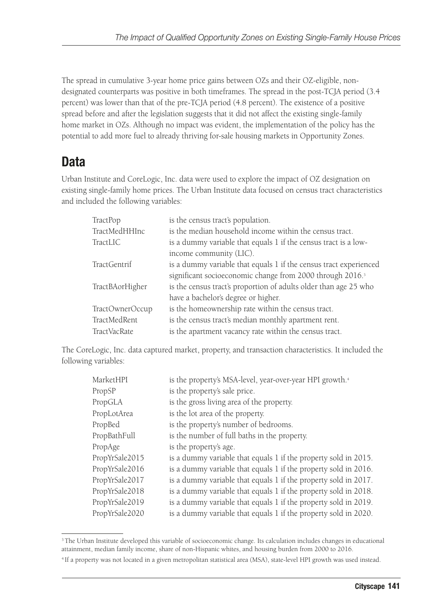The spread in cumulative 3-year home price gains between OZs and their OZ-eligible, nondesignated counterparts was positive in both timeframes. The spread in the post-TCJA period (3.4 percent) was lower than that of the pre-TCJA period (4.8 percent). The existence of a positive spread before and after the legislation suggests that it did not affect the existing single-family home market in OZs. Although no impact was evident, the implementation of the policy has the potential to add more fuel to already thriving for-sale housing markets in Opportunity Zones.

# Data

Urban Institute and CoreLogic, Inc. data were used to explore the impact of OZ designation on existing single-family home prices. The Urban Institute data focused on census tract characteristics and included the following variables:

| TractPop            | is the census tract's population.                                     |
|---------------------|-----------------------------------------------------------------------|
| TractMedHHInc       | is the median household income within the census tract.               |
| TractLIC            | is a dummy variable that equals 1 if the census tract is a low-       |
|                     | income community (LIC).                                               |
| <b>TractGentrif</b> | is a dummy variable that equals 1 if the census tract experienced     |
|                     | significant socioeconomic change from 2000 through 2016. <sup>3</sup> |
| TractBAorHigher     | is the census tract's proportion of adults older than age 25 who      |
|                     | have a bachelor's degree or higher.                                   |
| TractOwnerOccup     | is the homeownership rate within the census tract.                    |
| TractMedRent        | is the census tract's median monthly apartment rent.                  |
| TractVacRate        | is the apartment vacancy rate within the census tract.                |

The CoreLogic, Inc. data captured market, property, and transaction characteristics. It included the following variables:

| MarketHPI      | is the property's MSA-level, year-over-year HPI growth. <sup>4</sup> |  |  |  |  |
|----------------|----------------------------------------------------------------------|--|--|--|--|
| PropSP         | is the property's sale price.                                        |  |  |  |  |
| PropGLA        | is the gross living area of the property.                            |  |  |  |  |
| PropLotArea    | is the lot area of the property.                                     |  |  |  |  |
| PropBed        | is the property's number of bedrooms.                                |  |  |  |  |
| PropBathFull   | is the number of full baths in the property.                         |  |  |  |  |
| PropAge        | is the property's age.                                               |  |  |  |  |
| PropYrSale2015 | is a dummy variable that equals 1 if the property sold in 2015.      |  |  |  |  |
| PropYrSale2016 | is a dummy variable that equals 1 if the property sold in 2016.      |  |  |  |  |
| PropYrSale2017 | is a dummy variable that equals 1 if the property sold in 2017.      |  |  |  |  |
| PropYrSale2018 | is a dummy variable that equals 1 if the property sold in 2018.      |  |  |  |  |
| PropYrSale2019 | is a dummy variable that equals 1 if the property sold in 2019.      |  |  |  |  |
| PropYrSale2020 | is a dummy variable that equals 1 if the property sold in 2020.      |  |  |  |  |

<sup>&</sup>lt;sup>3</sup>The Urban Institute developed this variable of socioeconomic change. Its calculation includes changes in educational attainment, median family income, share of non-Hispanic whites, and housing burden from 2000 to 2016.

<sup>4</sup> If a property was not located in a given metropolitan statistical area (MSA), state-level HPI growth was used instead.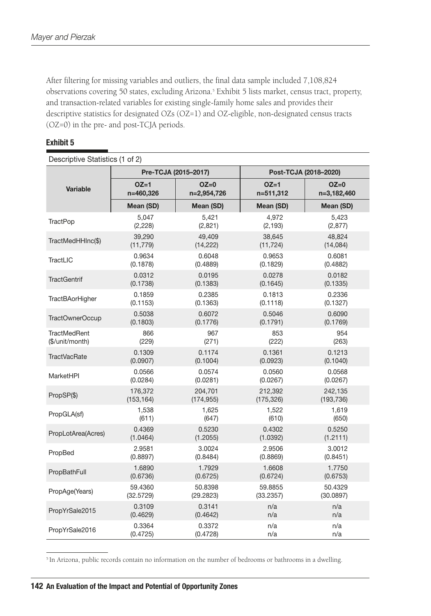After filtering for missing variables and outliers, the final data sample included 7,108,824 observations covering 50 states, excluding Arizona.5 Exhibit 5 lists market, census tract, property, and transaction-related variables for existing single-family home sales and provides their descriptive statistics for designated OZs (OZ=1) and OZ-eligible, non-designated census tracts (OZ=0) in the pre- and post-TCJA periods.

### Exhibit 5

| Descriptive Statistics (1 of 2) |            |                      |                       |             |  |  |  |
|---------------------------------|------------|----------------------|-----------------------|-------------|--|--|--|
|                                 |            | Pre-TCJA (2015-2017) | Post-TCJA (2018-2020) |             |  |  |  |
| <b>Variable</b>                 | $OZ=1$     | $OZ=0$               | $OZ=1$                | $OZ=0$      |  |  |  |
|                                 | n=460,326  | n=2,954,726          | n=511,312             | n=3,182,460 |  |  |  |
|                                 | Mean (SD)  | Mean (SD)            | Mean (SD)             | Mean (SD)   |  |  |  |
| <b>TractPop</b>                 | 5.047      | 5,421                | 4,972                 | 5,423       |  |  |  |
|                                 | (2, 228)   | (2,821)              | (2, 193)              | (2, 877)    |  |  |  |
| TractMedHHInc(\$)               | 39,290     | 49,409               | 38,645                | 48,824      |  |  |  |
|                                 | (11, 779)  | (14, 222)            | (11, 724)             | (14,084)    |  |  |  |
| TractLIC                        | 0.9634     | 0.6048               | 0.9653                | 0.6081      |  |  |  |
|                                 | (0.1878)   | (0.4889)             | (0.1829)              | (0.4882)    |  |  |  |
| <b>TractGentrif</b>             | 0.0312     | 0.0195               | 0.0278                | 0.0182      |  |  |  |
|                                 | (0.1738)   | (0.1383)             | (0.1645)              | (0.1335)    |  |  |  |
| <b>TractBAorHigher</b>          | 0.1859     | 0.2385               | 0.1813                | 0.2336      |  |  |  |
|                                 | (0.1153)   | (0.1363)             | (0.1118)              | (0.1327)    |  |  |  |
| TractOwnerOccup                 | 0.5038     | 0.6072               | 0.5046                | 0.6090      |  |  |  |
|                                 | (0.1803)   | (0.1776)             | (0.1791)              | (0.1769)    |  |  |  |
| <b>TractMedRent</b>             | 866        | 967                  | 853                   | 954         |  |  |  |
| (\$/unit/month)                 | (229)      | (271)                | (222)                 | (263)       |  |  |  |
| <b>TractVacRate</b>             | 0.1309     | 0.1174               | 0.1361                | 0.1213      |  |  |  |
|                                 | (0.0907)   | (0.1004)             | (0.0923)              | (0.1040)    |  |  |  |
| MarketHPI                       | 0.0566     | 0.0574               | 0.0560                | 0.0568      |  |  |  |
|                                 | (0.0284)   | (0.0281)             | (0.0267)              | (0.0267)    |  |  |  |
| PropSP(\$)                      | 176,372    | 204,701              | 212,392               | 242,135     |  |  |  |
|                                 | (153, 164) | (174, 955)           | (175, 326)            | (193, 736)  |  |  |  |
| PropGLA(sf)                     | 1,538      | 1,625                | 1,522                 | 1,619       |  |  |  |
|                                 | (611)      | (647)                | (610)                 | (650)       |  |  |  |
| PropLotArea(Acres)              | 0.4369     | 0.5230               | 0.4302                | 0.5250      |  |  |  |
|                                 | (1.0464)   | (1.2055)             | (1.0392)              | (1.2111)    |  |  |  |
| PropBed                         | 2.9581     | 3.0024               | 2.9506                | 3.0012      |  |  |  |
|                                 | (0.8897)   | (0.8484)             | (0.8869)              | (0.8451)    |  |  |  |
| PropBathFull                    | 1.6890     | 1.7929               | 1.6608                | 1.7750      |  |  |  |
|                                 | (0.6736)   | (0.6725)             | (0.6724)              | (0.6753)    |  |  |  |
| PropAge(Years)                  | 59.4360    | 50.8398              | 59.8855               | 50.4329     |  |  |  |
|                                 | (32.5729)  | (29.2823)            | (33.2357)             | (30.0897)   |  |  |  |
| PropYrSale2015                  | 0.3109     | 0.3141               | n/a                   | n/a         |  |  |  |
|                                 | (0.4629)   | (0.4642)             | n/a                   | n/a         |  |  |  |
| PropYrSale2016                  | 0.3364     | 0.3372               | n/a                   | n/a         |  |  |  |
|                                 | (0.4725)   | (0.4728)             | n/a                   | n/a         |  |  |  |

5 In Arizona, public records contain no information on the number of bedrooms or bathrooms in a dwelling.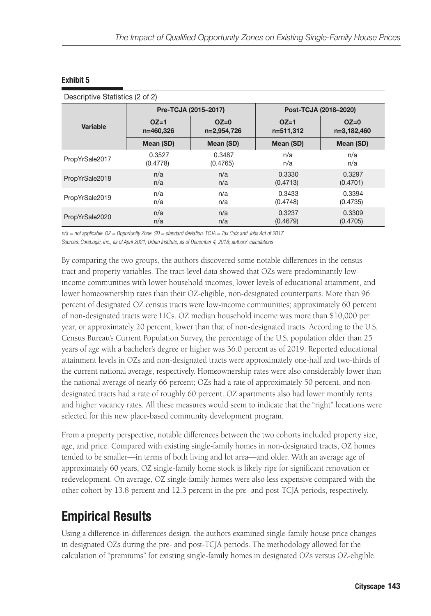|                |           | Pre-TCJA (2015-2017) | Post-TCJA (2018-2020) |             |  |
|----------------|-----------|----------------------|-----------------------|-------------|--|
| Variable       | $OZ=1$    | $OZ=0$               | $OZ=1$                | $OZ=0$      |  |
|                | n=460,326 | n=2,954,726          | n=511,312             | n=3,182,460 |  |
|                | Mean (SD) | Mean (SD)            | Mean (SD)             | Mean (SD)   |  |
| PropYrSale2017 | 0.3527    | 0.3487               | n/a                   | n/a         |  |
|                | (0.4778)  | (0.4765)             | n/a                   | n/a         |  |
| PropYrSale2018 | n/a       | n/a                  | 0.3330                | 0.3297      |  |
|                | n/a       | n/a                  | (0.4713)              | (0.4701)    |  |
| PropYrSale2019 | n/a       | n/a                  | 0.3433                | 0.3394      |  |
|                | n/a       | n/a                  | (0.4748)              | (0.4735)    |  |
| PropYrSale2020 | n/a       | n/a                  | 0.3237                | 0.3309      |  |
|                | n/a       | n/a                  | (0.4679)              | (0.4705)    |  |

*n/a = not applicable. OZ = Opportunity Zone. SD = standard deviation. TCJA = Tax Cuts and Jobs Act of 2017. Sources: CoreLogic, Inc., as of April 2021; Urban Institute, as of December 4, 2018; authors' calculations*

By comparing the two groups, the authors discovered some notable differences in the census tract and property variables. The tract-level data showed that OZs were predominantly lowincome communities with lower household incomes, lower levels of educational attainment, and lower homeownership rates than their OZ-eligible, non-designated counterparts. More than 96 percent of designated OZ census tracts were low-income communities; approximately 60 percent of non-designated tracts were LICs. OZ median household income was more than \$10,000 per year, or approximately 20 percent, lower than that of non-designated tracts. According to the U.S. Census Bureau's Current Population Survey, the percentage of the U.S. population older than 25 years of age with a bachelor's degree or higher was 36.0 percent as of 2019. Reported educational attainment levels in OZs and non-designated tracts were approximately one-half and two-thirds of the current national average, respectively. Homeownership rates were also considerably lower than the national average of nearly 66 percent; OZs had a rate of approximately 50 percent, and nondesignated tracts had a rate of roughly 60 percent. OZ apartments also had lower monthly rents and higher vacancy rates. All these measures would seem to indicate that the "right" locations were selected for this new place-based community development program.

From a property perspective, notable differences between the two cohorts included property size, age, and price. Compared with existing single-family homes in non-designated tracts, OZ homes tended to be smaller—in terms of both living and lot area—and older. With an average age of approximately 60 years, OZ single-family home stock is likely ripe for significant renovation or redevelopment. On average, OZ single-family homes were also less expensive compared with the other cohort by 13.8 percent and 12.3 percent in the pre- and post-TCJA periods, respectively.

# Empirical Results

Using a difference-in-differences design, the authors examined single-family house price changes in designated OZs during the pre- and post-TCJA periods. The methodology allowed for the calculation of "premiums" for existing single-family homes in designated OZs versus OZ-eligible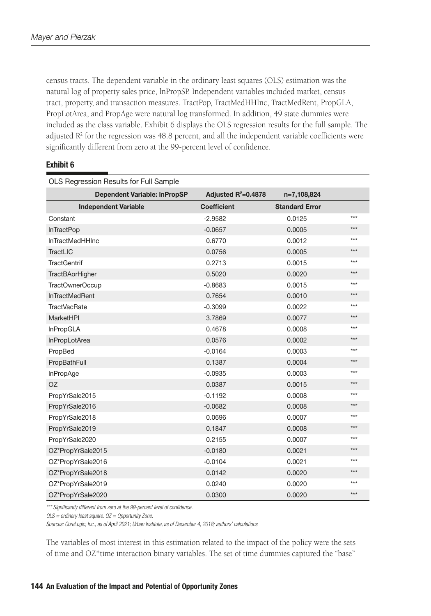census tracts. The dependent variable in the ordinary least squares (OLS) estimation was the natural log of property sales price, lnPropSP. Independent variables included market, census tract, property, and transaction measures. TractPop, TractMedHHInc, TractMedRent, PropGLA, PropLotArea, and PropAge were natural log transformed. In addition, 49 state dummies were included as the class variable. Exhibit 6 displays the OLS regression results for the full sample. The adjusted  $\mathbb{R}^2$  for the regression was 48.8 percent, and all the independent variable coefficients were significantly different from zero at the 99-percent level of confidence.

#### Exhibit 6

| OLS Regression Results for Full Sample |                       |                       |       |  |  |  |  |
|----------------------------------------|-----------------------|-----------------------|-------|--|--|--|--|
| <b>Dependent Variable: InPropSP</b>    | Adjusted $R^2=0.4878$ | n=7,108,824           |       |  |  |  |  |
| <b>Independent Variable</b>            | <b>Coefficient</b>    | <b>Standard Error</b> |       |  |  |  |  |
| Constant                               | $-2.9582$             | 0.0125                | ***   |  |  |  |  |
| <b>InTractPop</b>                      | $-0.0657$             | 0.0005                | $***$ |  |  |  |  |
| InTractMedHHInc                        | 0.6770                | 0.0012                | $***$ |  |  |  |  |
| TractLIC                               | 0.0756                | 0.0005                | ***   |  |  |  |  |
| <b>TractGentrif</b>                    | 0.2713                | 0.0015                | ***   |  |  |  |  |
| <b>TractBAorHigher</b>                 | 0.5020                | 0.0020                | $***$ |  |  |  |  |
| TractOwnerOccup                        | $-0.8683$             | 0.0015                | $***$ |  |  |  |  |
| <b>InTractMedRent</b>                  | 0.7654                | 0.0010                | ***   |  |  |  |  |
| <b>TractVacRate</b>                    | $-0.3099$             | 0.0022                | ***   |  |  |  |  |
| MarketHPI                              | 3.7869                | 0.0077                | $***$ |  |  |  |  |
| <b>InPropGLA</b>                       | 0.4678                | 0.0008                | $***$ |  |  |  |  |
| InPropLotArea                          | 0.0576                | 0.0002                | $***$ |  |  |  |  |
| PropBed                                | $-0.0164$             | 0.0003                | ***   |  |  |  |  |
| PropBathFull                           | 0.1387                | 0.0004                | ***   |  |  |  |  |
| InPropAge                              | $-0.0935$             | 0.0003                | $***$ |  |  |  |  |
| <b>OZ</b>                              | 0.0387                | 0.0015                | $***$ |  |  |  |  |
| PropYrSale2015                         | $-0.1192$             | 0.0008                | $***$ |  |  |  |  |
| PropYrSale2016                         | $-0.0682$             | 0.0008                | ***   |  |  |  |  |
| PropYrSale2018                         | 0.0696                | 0.0007                | $***$ |  |  |  |  |
| PropYrSale2019                         | 0.1847                | 0.0008                | $***$ |  |  |  |  |
| PropYrSale2020                         | 0.2155                | 0.0007                | $***$ |  |  |  |  |
| OZ*PropYrSale2015                      | $-0.0180$             | 0.0021                | ***   |  |  |  |  |
| OZ*PropYrSale2016                      | $-0.0104$             | 0.0021                | $***$ |  |  |  |  |
| OZ*PropYrSale2018                      | 0.0142                | 0.0020                | ***   |  |  |  |  |
| OZ*PropYrSale2019                      | 0.0240                | 0.0020                | $***$ |  |  |  |  |
| OZ*PropYrSale2020                      | 0.0300                | 0.0020                | $***$ |  |  |  |  |

*\*\*\* Significantly different from zero at the 99-percent level of confidence.*

*OLS = ordinary least square. OZ = Opportunity Zone.*

*Sources: CoreLogic, Inc., as of April 2021; Urban Institute, as of December 4, 2018; authors' calculations*

The variables of most interest in this estimation related to the impact of the policy were the sets of time and OZ\*time interaction binary variables. The set of time dummies captured the "base"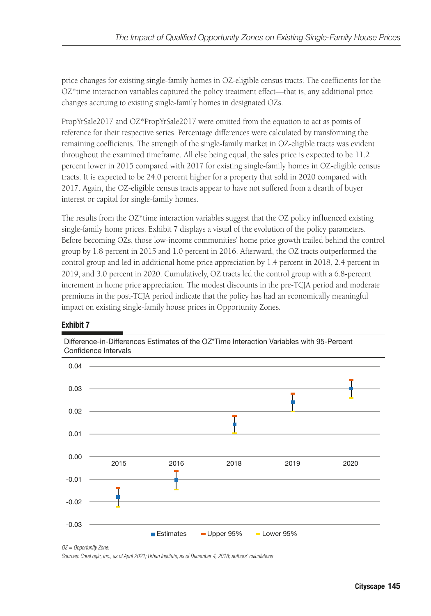price changes for existing single-family homes in OZ-eligible census tracts. The coefficients for the OZ\*time interaction variables captured the policy treatment effect—that is, any additional price changes accruing to existing single-family homes in designated OZs.

PropYrSale2017 and OZ\*PropYrSale2017 were omitted from the equation to act as points of reference for their respective series. Percentage differences were calculated by transforming the remaining coefficients. The strength of the single-family market in OZ-eligible tracts was evident throughout the examined timeframe. All else being equal, the sales price is expected to be 11.2 percent lower in 2015 compared with 2017 for existing single-family homes in OZ-eligible census tracts. It is expected to be 24.0 percent higher for a property that sold in 2020 compared with 2017. Again, the OZ-eligible census tracts appear to have not suffered from a dearth of buyer interest or capital for single-family homes.

The results from the OZ\*time interaction variables suggest that the OZ policy influenced existing single-family home prices. Exhibit 7 displays a visual of the evolution of the policy parameters. Before becoming OZs, those low-income communities' home price growth trailed behind the control group by 1.8 percent in 2015 and 1.0 percent in 2016. Afterward, the OZ tracts outperformed the control group and led in additional home price appreciation by 1.4 percent in 2018, 2.4 percent in 2019, and 3.0 percent in 2020. Cumulatively, OZ tracts led the control group with a 6.8-percent increment in home price appreciation. The modest discounts in the pre-TCJA period and moderate premiums in the post-TCJA period indicate that the policy has had an economically meaningful impact on existing single-family house prices in Opportunity Zones.



### Exhibit 7

Difference-in-Differences Estimates of the OZ\*Time Interaction Variables with 95-Percent Confidence Intervals

*OZ = Opportunity Zone.*

*Sources: CoreLogic, Inc., as of April 2021; Urban Institute, as of December 4, 2018; authors' calculations*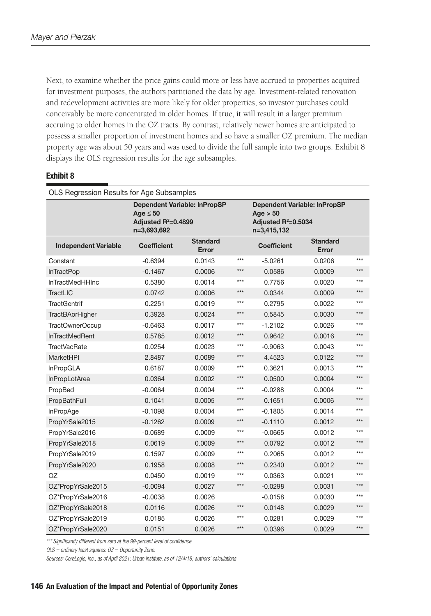Next, to examine whether the price gains could more or less have accrued to properties acquired for investment purposes, the authors partitioned the data by age. Investment-related renovation and redevelopment activities are more likely for older properties, so investor purchases could conceivably be more concentrated in older homes. If true, it will result in a larger premium accruing to older homes in the OZ tracts. By contrast, relatively newer homes are anticipated to possess a smaller proportion of investment homes and so have a smaller OZ premium. The median property age was about 50 years and was used to divide the full sample into two groups. Exhibit 8 displays the OLS regression results for the age subsamples.

#### Exhibit 8

| OLS Regression Results for Age Subsamples |                                                                                              |                          |       |                                                                                         |                          |       |  |  |
|-------------------------------------------|----------------------------------------------------------------------------------------------|--------------------------|-------|-----------------------------------------------------------------------------------------|--------------------------|-------|--|--|
|                                           | <b>Dependent Variable: InPropSP</b><br>Age $\leq 50$<br>Adjusted $R^2=0.4899$<br>n=3,693,692 |                          |       | <b>Dependent Variable: InPropSP</b><br>Age > 50<br>Adjusted $R^2=0.5034$<br>n=3,415,132 |                          |       |  |  |
| <b>Independent Variable</b>               | <b>Coefficient</b>                                                                           | <b>Standard</b><br>Error |       | <b>Coefficient</b>                                                                      | <b>Standard</b><br>Error |       |  |  |
| Constant                                  | $-0.6394$                                                                                    | 0.0143                   | $***$ | $-5.0261$                                                                               | 0.0206                   | ***   |  |  |
| <b>InTractPop</b>                         | $-0.1467$                                                                                    | 0.0006                   | $***$ | 0.0586                                                                                  | 0.0009                   | $***$ |  |  |
| InTractMedHHInc                           | 0.5380                                                                                       | 0.0014                   | ***   | 0.7756                                                                                  | 0.0020                   | $***$ |  |  |
| TractLIC                                  | 0.0742                                                                                       | 0.0006                   | $***$ | 0.0344                                                                                  | 0.0009                   | $***$ |  |  |
| <b>TractGentrif</b>                       | 0.2251                                                                                       | 0.0019                   | $***$ | 0.2795                                                                                  | 0.0022                   | ***   |  |  |
| <b>TractBAorHigher</b>                    | 0.3928                                                                                       | 0.0024                   | $***$ | 0.5845                                                                                  | 0.0030                   | ***   |  |  |
| TractOwnerOccup                           | $-0.6463$                                                                                    | 0.0017                   | $***$ | $-1.2102$                                                                               | 0.0026                   | ***   |  |  |
| <b>InTractMedRent</b>                     | 0.5785                                                                                       | 0.0012                   | $***$ | 0.9642                                                                                  | 0.0016                   | $***$ |  |  |
| <b>TractVacRate</b>                       | 0.0254                                                                                       | 0.0023                   | $***$ | $-0.9063$                                                                               | 0.0043                   | ***   |  |  |
| <b>MarketHPI</b>                          | 2.8487                                                                                       | 0.0089                   | $***$ | 4.4523                                                                                  | 0.0122                   | ***   |  |  |
| InPropGLA                                 | 0.6187                                                                                       | 0.0009                   | ***   | 0.3621                                                                                  | 0.0013                   | ***   |  |  |
| InPropLotArea                             | 0.0364                                                                                       | 0.0002                   | ***   | 0.0500                                                                                  | 0.0004                   | ***   |  |  |
| PropBed                                   | $-0.0064$                                                                                    | 0.0004                   | ***   | $-0.0288$                                                                               | 0.0004                   | ***   |  |  |
| PropBathFull                              | 0.1041                                                                                       | 0.0005                   | ***   | 0.1651                                                                                  | 0.0006                   | ***   |  |  |
| <b>InPropAge</b>                          | $-0.1098$                                                                                    | 0.0004                   | ***   | $-0.1805$                                                                               | 0.0014                   | $***$ |  |  |
| PropYrSale2015                            | $-0.1262$                                                                                    | 0.0009                   | $***$ | $-0.1110$                                                                               | 0.0012                   | $***$ |  |  |
| PropYrSale2016                            | $-0.0689$                                                                                    | 0.0009                   | $***$ | $-0.0665$                                                                               | 0.0012                   | $***$ |  |  |
| PropYrSale2018                            | 0.0619                                                                                       | 0.0009                   | $***$ | 0.0792                                                                                  | 0.0012                   | $***$ |  |  |
| PropYrSale2019                            | 0.1597                                                                                       | 0.0009                   | $***$ | 0.2065                                                                                  | 0.0012                   | $***$ |  |  |
| PropYrSale2020                            | 0.1958                                                                                       | 0.0008                   | $***$ | 0.2340                                                                                  | 0.0012                   | $***$ |  |  |
| OZ                                        | 0.0450                                                                                       | 0.0019                   | $***$ | 0.0363                                                                                  | 0.0021                   | $***$ |  |  |
| OZ*PropYrSale2015                         | $-0.0094$                                                                                    | 0.0027                   | $***$ | $-0.0298$                                                                               | 0.0031                   | $***$ |  |  |
| OZ*PropYrSale2016                         | $-0.0038$                                                                                    | 0.0026                   |       | $-0.0158$                                                                               | 0.0030                   | $***$ |  |  |
| OZ*PropYrSale2018                         | 0.0116                                                                                       | 0.0026                   | $***$ | 0.0148                                                                                  | 0.0029                   | ***   |  |  |
| OZ*PropYrSale2019                         | 0.0185                                                                                       | 0.0026                   | ***   | 0.0281                                                                                  | 0.0029                   | ***   |  |  |
| OZ*PropYrSale2020                         | 0.0151                                                                                       | 0.0026                   | $***$ | 0.0396                                                                                  | 0.0029                   | $***$ |  |  |

*\*\*\* Significantly different from zero at the 99-percent level of confidence*

*OLS = ordinary least squares. OZ = Opportunity Zone.*

*Sources: CoreLogic, Inc., as of April 2021; Urban Institute, as of 12/4/18; authors' calculations*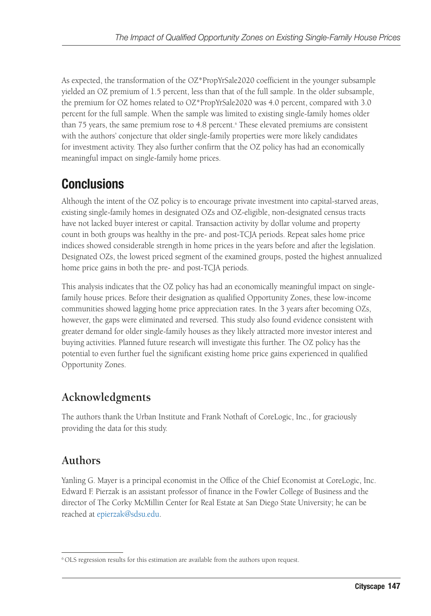As expected, the transformation of the OZ\*PropYrSale2020 coefficient in the younger subsample yielded an OZ premium of 1.5 percent, less than that of the full sample. In the older subsample, the premium for OZ homes related to OZ\*PropYrSale2020 was 4.0 percent, compared with 3.0 percent for the full sample. When the sample was limited to existing single-family homes older than 75 years, the same premium rose to 4.8 percent.<sup>6</sup> These elevated premiums are consistent with the authors' conjecture that older single-family properties were more likely candidates for investment activity. They also further confirm that the OZ policy has had an economically meaningful impact on single-family home prices.

# Conclusions

Although the intent of the OZ policy is to encourage private investment into capital-starved areas, existing single-family homes in designated OZs and OZ-eligible, non-designated census tracts have not lacked buyer interest or capital. Transaction activity by dollar volume and property count in both groups was healthy in the pre- and post-TCJA periods. Repeat sales home price indices showed considerable strength in home prices in the years before and after the legislation. Designated OZs, the lowest priced segment of the examined groups, posted the highest annualized home price gains in both the pre- and post-TCJA periods.

This analysis indicates that the OZ policy has had an economically meaningful impact on singlefamily house prices. Before their designation as qualified Opportunity Zones, these low-income communities showed lagging home price appreciation rates. In the 3 years after becoming OZs, however, the gaps were eliminated and reversed. This study also found evidence consistent with greater demand for older single-family houses as they likely attracted more investor interest and buying activities. Planned future research will investigate this further. The OZ policy has the potential to even further fuel the significant existing home price gains experienced in qualified Opportunity Zones.

### **Acknowledgments**

The authors thank the Urban Institute and Frank Nothaft of CoreLogic, Inc., for graciously providing the data for this study.

### **Authors**

Yanling G. Mayer is a principal economist in the Office of the Chief Economist at CoreLogic, Inc. Edward F. Pierzak is an assistant professor of finance in the Fowler College of Business and the director of The Corky McMillin Center for Real Estate at San Diego State University; he can be reached at [epierzak@sdsu.edu](mailto:epierzak@sdsu.edu).

<sup>&</sup>lt;sup>6</sup> OLS regression results for this estimation are available from the authors upon request.